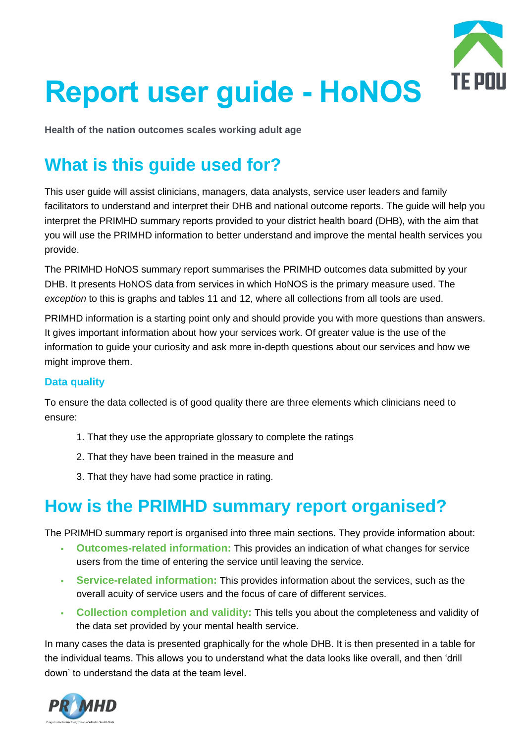

# **Report user guide - HoNOS**

**Health of the nation outcomes scales working adult age**

# **What is this guide used for?**

This user guide will assist clinicians, managers, data analysts, service user leaders and family facilitators to understand and interpret their DHB and national outcome reports. The guide will help you interpret the PRIMHD summary reports provided to your district health board (DHB), with the aim that you will use the PRIMHD information to better understand and improve the mental health services you provide.

The PRIMHD HoNOS summary report summarises the PRIMHD outcomes data submitted by your DHB. It presents HoNOS data from services in which HoNOS is the primary measure used. The *exception* to this is graphs and tables 11 and 12, where all collections from all tools are used.

PRIMHD information is a starting point only and should provide you with more questions than answers. It gives important information about how your services work. Of greater value is the use of the information to guide your curiosity and ask more in-depth questions about our services and how we might improve them.

#### **Data quality**

To ensure the data collected is of good quality there are three elements which clinicians need to ensure:

- 1. That they use the appropriate glossary to complete the ratings
- 2. That they have been trained in the measure and
- 3. That they have had some practice in rating.

### **How is the PRIMHD summary report organised?**

The PRIMHD summary report is organised into three main sections. They provide information about:

- **Outcomes-related information:** This provides an indication of what changes for service users from the time of entering the service until leaving the service.
- **Service-related information:** This provides information about the services, such as the overall acuity of service users and the focus of care of different services.
- **Collection completion and validity:** This tells you about the completeness and validity of the data set provided by your mental health service.

In many cases the data is presented graphically for the whole DHB. It is then presented in a table for the individual teams. This allows you to understand what the data looks like overall, and then 'drill down' to understand the data at the team level.

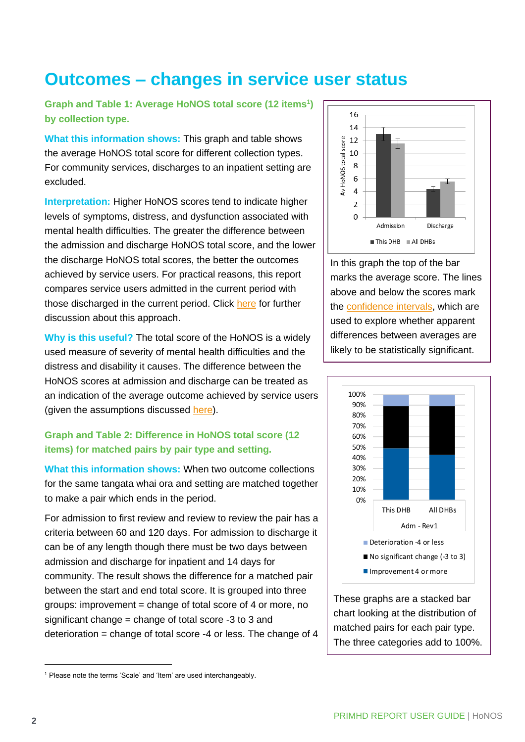### **Outcomes – changes in service user status**

**Graph and Table 1: Average HoNOS total score (12 items<sup>1</sup> ) by collection type.**

**What this information shows:** This graph and table shows the average HoNOS total score for different collection types. For community services, discharges to an inpatient setting are excluded.

**Interpretation:** Higher HoNOS scores tend to indicate higher levels of symptoms, distress, and dysfunction associated with mental health difficulties. The greater the difference between the admission and discharge HoNOS total score, and the lower the discharge HoNOS total scores, the better the outcomes achieved by service users. For practical reasons, this report compares service users admitted in the current period with those discharged in the current period. Click [here](#page-7-0) for further discussion about this approach.

**Why is this useful?** The total score of the HoNOS is a widely used measure of severity of mental health difficulties and the distress and disability it causes. The difference between the HoNOS scores at admission and discharge can be treated as an indication of the average outcome achieved by service users (given the assumptions discussed [here\)](#page-7-0).

#### **Graph and Table 2: Difference in HoNOS total score (12 items) for matched pairs by pair type and setting.**

**What this information shows:** When two outcome collections for the same tangata whai ora and setting are matched together to make a pair which ends in the period.

For admission to first review and review to review the pair has a criteria between 60 and 120 days. For admission to discharge it can be of any length though there must be two days between admission and discharge for inpatient and 14 days for community. The result shows the difference for a matched pair between the start and end total score. It is grouped into three groups: improvement = change of total score of 4 or more, no significant change = change of total score -3 to 3 and deterioration = change of total score -4 or less. The change of 4



In this graph the top of the bar marks the average score. The lines above and below the scores mark the [confidence intervals,](#page-7-0) which are used to explore whether apparent differences between averages are likely to be statistically significant.



These graphs are a stacked bar chart looking at the distribution of matched pairs for each pair type. The three categories add to 100%.

<sup>&</sup>lt;sup>1</sup> Please note the terms 'Scale' and 'Item' are used interchangeably.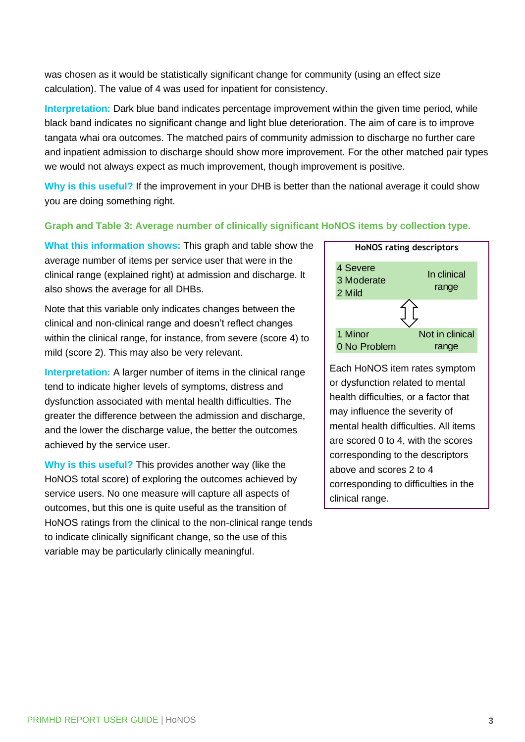was chosen as it would be statistically significant change for community (using an effect size calculation). The value of 4 was used for inpatient for consistency.

**Interpretation:** Dark blue band indicates percentage improvement within the given time period, while black band indicates no significant change and light blue deterioration. The aim of care is to improve tangata whai ora outcomes. The matched pairs of community admission to discharge no further care and inpatient admission to discharge should show more improvement. For the other matched pair types we would not always expect as much improvement, though improvement is positive.

**Why is this useful?** If the improvement in your DHB is better than the national average it could show you are doing something right.

**Graph and Table 3: Average number of clinically significant HoNOS items by collection type.**

**What this information shows:** This graph and table show the average number of items per service user that were in the clinical range (explained right) at admission and discharge. It also shows the average for all DHBs.

Note that this variable only indicates changes between the clinical and non-clinical range and doesn't reflect changes within the clinical range, for instance, from severe (score 4) to mild (score 2). This may also be very relevant.

**Interpretation:** A larger number of items in the clinical range tend to indicate higher levels of symptoms, distress and dysfunction associated with mental health difficulties. The greater the difference between the admission and discharge, and the lower the discharge value, the better the outcomes achieved by the service user.

**Why is this useful?** This provides another way (like the HoNOS total score) of exploring the outcomes achieved by service users. No one measure will capture all aspects of outcomes, but this one is quite useful as the transition of HoNOS ratings from the clinical to the non-clinical range tends to indicate clinically significant change, so the use of this variable may be particularly clinically meaningful.



Each HoNOS item rates symptom or dysfunction related to mental health difficulties, or a factor that may influence the severity of mental health difficulties. All items are scored 0 to 4, with the scores corresponding to the descriptors above and scores 2 to 4 corresponding to difficulties in the clinical range.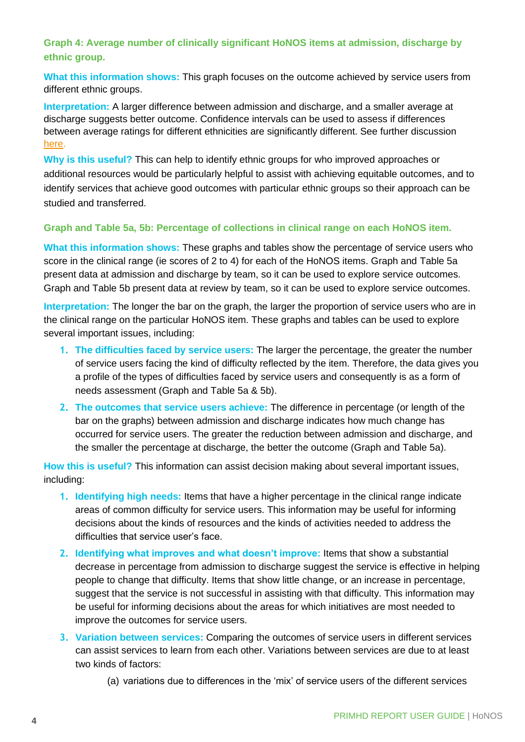**Graph 4: Average number of clinically significant HoNOS items at admission, discharge by ethnic group.**

**What this information shows:** This graph focuses on the outcome achieved by service users from different ethnic groups.

**Interpretation:** A larger difference between admission and discharge, and a smaller average at discharge suggests better outcome. Confidence intervals can be used to assess if differences between average ratings for different ethnicities are significantly different. See further discussion [here.](#page-7-0)

**Why is this useful?** This can help to identify ethnic groups for who improved approaches or additional resources would be particularly helpful to assist with achieving equitable outcomes, and to identify services that achieve good outcomes with particular ethnic groups so their approach can be studied and transferred.

#### **Graph and Table 5a, 5b: Percentage of collections in clinical range on each HoNOS item.**

**What this information shows:** These graphs and tables show the percentage of service users who score in the clinical range (ie scores of 2 to 4) for each of the HoNOS items. Graph and Table 5a present data at admission and discharge by team, so it can be used to explore service outcomes. Graph and Table 5b present data at review by team, so it can be used to explore service outcomes.

**Interpretation:** The longer the bar on the graph, the larger the proportion of service users who are in the clinical range on the particular HoNOS item. These graphs and tables can be used to explore several important issues, including:

- **1. The difficulties faced by service users:** The larger the percentage, the greater the number of service users facing the kind of difficulty reflected by the item. Therefore, the data gives you a profile of the types of difficulties faced by service users and consequently is as a form of needs assessment (Graph and Table 5a & 5b).
- **2. The outcomes that service users achieve:** The difference in percentage (or length of the bar on the graphs) between admission and discharge indicates how much change has occurred for service users. The greater the reduction between admission and discharge, and the smaller the percentage at discharge, the better the outcome (Graph and Table 5a).

**How this is useful?** This information can assist decision making about several important issues, including:

- **1. Identifying high needs:** Items that have a higher percentage in the clinical range indicate areas of common difficulty for service users. This information may be useful for informing decisions about the kinds of resources and the kinds of activities needed to address the difficulties that service user's face.
- **2. Identifying what improves and what doesn't improve:** Items that show a substantial decrease in percentage from admission to discharge suggest the service is effective in helping people to change that difficulty. Items that show little change, or an increase in percentage, suggest that the service is not successful in assisting with that difficulty. This information may be useful for informing decisions about the areas for which initiatives are most needed to improve the outcomes for service users.
- **3. Variation between services:** Comparing the outcomes of service users in different services can assist services to learn from each other. Variations between services are due to at least two kinds of factors:
	- (a) variations due to differences in the 'mix' of service users of the different services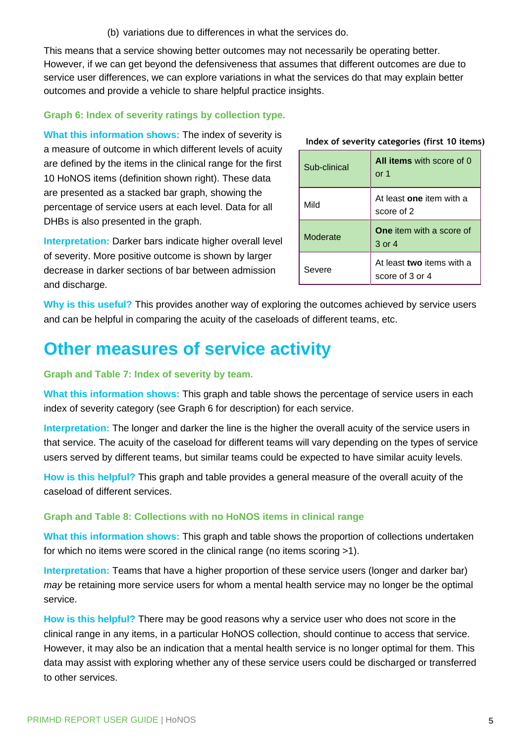(b) variations due to differences in what the services do.

This means that a service showing better outcomes may not necessarily be operating better. However, if we can get beyond the defensiveness that assumes that different outcomes are due to service user differences, we can explore variations in what the services do that may explain better outcomes and provide a vehicle to share helpful practice insights.

#### **Graph 6: Index of severity ratings by collection type.**

**What this information shows:** The index of severity is a measure of outcome in which different levels of acuity are defined by the items in the clinical range for the first 10 HoNOS items (definition shown right). These data are presented as a stacked bar graph, showing the percentage of service users at each level. Data for all DHBs is also presented in the graph.

**Interpretation:** Darker bars indicate higher overall level of severity. More positive outcome is shown by larger decrease in darker sections of bar between admission and discharge.

| Index of severity categories (first 10 items) |  |  |
|-----------------------------------------------|--|--|
|-----------------------------------------------|--|--|

| Sub-clinical | All items with score of 0<br>or <sub>1</sub> |
|--------------|----------------------------------------------|
| Mild         | At least one item with a<br>score of 2       |
| Moderate     | <b>One</b> item with a score of<br>$3$ or 4  |
| Severe       | At least two items with a<br>score of 3 or 4 |

**Why is this useful?** This provides another way of exploring the outcomes achieved by service users and can be helpful in comparing the acuity of the caseloads of different teams, etc.

### **Other measures of service activity**

#### **Graph and Table 7: Index of severity by team.**

**What this information shows:** This graph and table shows the percentage of service users in each index of severity category (see Graph 6 for description) for each service.

**Interpretation:** The longer and darker the line is the higher the overall acuity of the service users in that service. The acuity of the caseload for different teams will vary depending on the types of service users served by different teams, but similar teams could be expected to have similar acuity levels.

**How is this helpful?** This graph and table provides a general measure of the overall acuity of the caseload of different services.

#### **Graph and Table 8: Collections with no HoNOS items in clinical range**

**What this information shows:** This graph and table shows the proportion of collections undertaken for which no items were scored in the clinical range (no items scoring >1).

**Interpretation:** Teams that have a higher proportion of these service users (longer and darker bar) *may* be retaining more service users for whom a mental health service may no longer be the optimal service.

**How is this helpful?** There may be good reasons why a service user who does not score in the clinical range in any items, in a particular HoNOS collection, should continue to access that service. However, it may also be an indication that a mental health service is no longer optimal for them. This data may assist with exploring whether any of these service users could be discharged or transferred to other services.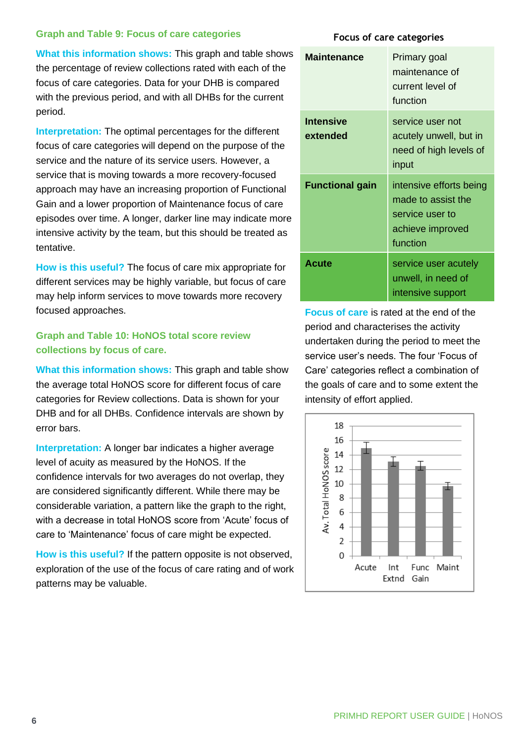#### **Graph and Table 9: Focus of care categories**

**What this information shows:** This graph and table shows the percentage of review collections rated with each of the focus of care categories. Data for your DHB is compared with the previous period, and with all DHBs for the current period.

**Interpretation:** The optimal percentages for the different focus of care categories will depend on the purpose of the service and the nature of its service users. However, a service that is moving towards a more recovery-focused approach may have an increasing proportion of Functional Gain and a lower proportion of Maintenance focus of care episodes over time. A longer, darker line may indicate more intensive activity by the team, but this should be treated as tentative.

**How is this useful?** The focus of care mix appropriate for different services may be highly variable, but focus of care may help inform services to move towards more recovery focused approaches.

#### **Graph and Table 10: HoNOS total score review collections by focus of care.**

**What this information shows:** This graph and table show the average total HoNOS score for different focus of care categories for Review collections. Data is shown for your DHB and for all DHBs. Confidence intervals are shown by error bars.

**Interpretation:** A longer bar indicates a higher average level of acuity as measured by the HoNOS. If the confidence intervals for two averages do not overlap, they are considered significantly different. While there may be considerable variation, a pattern like the graph to the right, with a decrease in total HoNOS score from 'Acute' focus of care to 'Maintenance' focus of care might be expected.

**How is this useful?** If the pattern opposite is not observed, exploration of the use of the focus of care rating and of work patterns may be valuable.

#### **Focus of care categories**

| <b>Maintenance</b>           | Primary goal<br>maintenance of<br>current level of<br>function                |
|------------------------------|-------------------------------------------------------------------------------|
| <b>Intensive</b><br>extended | service user not<br>acutely unwell, but in<br>need of high levels of<br>input |
| <b>Functional gain</b>       | intensive efforts being                                                       |
|                              | made to assist the<br>service user to<br>achieve improved<br>function         |

**Focus of care** is rated at the end of the period and characterises the activity undertaken during the period to meet the service user's needs. The four 'Focus of Care' categories reflect a combination of the goals of care and to some extent the intensity of effort applied.

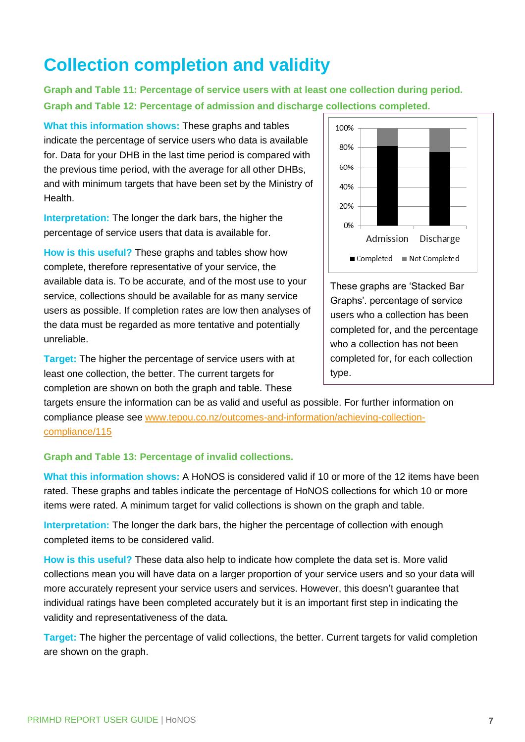### **Collection completion and validity**

**Graph and Table 11: Percentage of service users with at least one collection during period. Graph and Table 12: Percentage of admission and discharge collections completed.**

**What this information shows:** These graphs and tables indicate the percentage of service users who data is available for. Data for your DHB in the last time period is compared with the previous time period, with the average for all other DHBs, and with minimum targets that have been set by the Ministry of Health.

**Interpretation:** The longer the dark bars, the higher the percentage of service users that data is available for.

**How is this useful?** These graphs and tables show how complete, therefore representative of your service, the available data is. To be accurate, and of the most use to your service, collections should be available for as many service users as possible. If completion rates are low then analyses of the data must be regarded as more tentative and potentially unreliable.

**Target:** The higher the percentage of service users with at least one collection, the better. The current targets for completion are shown on both the graph and table. These



These graphs are 'Stacked Bar Graphs'. percentage of service users who a collection has been completed for, and the percentage who a collection has not been completed for, for each collection type.

targets ensure the information can be as valid and useful as possible. For further information on compliance please see [www.tepou.co.nz/outcomes-and-information/achieving-collection](http://www.tepou.co.nz/outcomes-and-information/achieving-collection-compliance/115)[compliance/115](http://www.tepou.co.nz/outcomes-and-information/achieving-collection-compliance/115)

#### **Graph and Table 13: Percentage of invalid collections.**

**What this information shows:** A HoNOS is considered valid if 10 or more of the 12 items have been rated. These graphs and tables indicate the percentage of HoNOS collections for which 10 or more items were rated. A minimum target for valid collections is shown on the graph and table.

**Interpretation:** The longer the dark bars, the higher the percentage of collection with enough completed items to be considered valid.

**How is this useful?** These data also help to indicate how complete the data set is. More valid collections mean you will have data on a larger proportion of your service users and so your data will more accurately represent your service users and services. However, this doesn't guarantee that individual ratings have been completed accurately but it is an important first step in indicating the validity and representativeness of the data.

**Target:** The higher the percentage of valid collections, the better. Current targets for valid completion are shown on the graph.